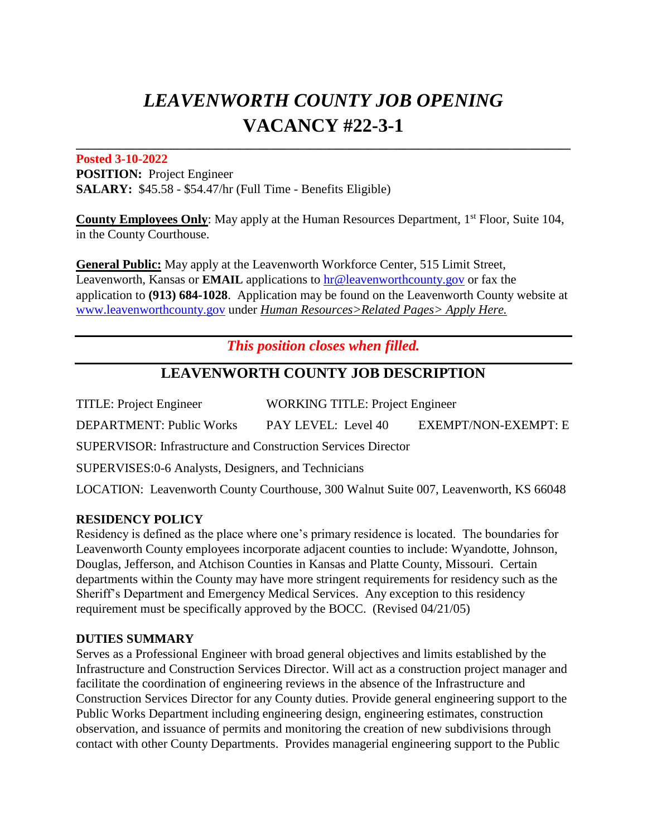# *LEAVENWORTH COUNTY JOB OPENING* **VACANCY #22-3-1**

**\_\_\_\_\_\_\_\_\_\_\_\_\_\_\_\_\_\_\_\_\_\_\_\_\_\_\_\_\_\_\_\_\_\_\_\_\_\_\_\_\_\_\_\_\_\_\_\_\_\_\_\_\_\_\_\_\_\_\_\_\_\_\_\_\_\_\_\_\_\_\_\_\_\_\_\_\_\_** 

#### **Posted 3-10-2022**

**POSITION:** Project Engineer **SALARY:** \$45.58 - \$54.47/hr (Full Time - Benefits Eligible)

**County Employees Only:** May apply at the Human Resources Department, 1<sup>st</sup> Floor, Suite 104, in the County Courthouse.

**General Public:** May apply at the Leavenworth Workforce Center, 515 Limit Street, Leavenworth, Kansas or **EMAIL** applications to hr@leavenworthcounty.gov or fax the application to **(913) 684-1028**. Application may be found on the Leavenworth County website at [www.leavenworthcounty.go](http://www.leavenworthcounty.g/)v under *Human Resources>Related Pages> Apply Here.*

*This position closes when filled.*

# **LEAVENWORTH COUNTY JOB DESCRIPTION**

TITLE: Project Engineer WORKING TITLE: Project Engineer DEPARTMENT: Public Works PAY LEVEL: Level 40 EXEMPT/NON-EXEMPT: E SUPERVISOR: Infrastructure and Construction Services Director SUPERVISES:0-6 Analysts, Designers, and Technicians LOCATION: Leavenworth County Courthouse, 300 Walnut Suite 007, Leavenworth, KS 66048

### **RESIDENCY POLICY**

Residency is defined as the place where one's primary residence is located. The boundaries for Leavenworth County employees incorporate adjacent counties to include: Wyandotte, Johnson, Douglas, Jefferson, and Atchison Counties in Kansas and Platte County, Missouri. Certain departments within the County may have more stringent requirements for residency such as the Sheriff's Department and Emergency Medical Services. Any exception to this residency requirement must be specifically approved by the BOCC. (Revised 04/21/05)

## **DUTIES SUMMARY**

Serves as a Professional Engineer with broad general objectives and limits established by the Infrastructure and Construction Services Director. Will act as a construction project manager and facilitate the coordination of engineering reviews in the absence of the Infrastructure and Construction Services Director for any County duties. Provide general engineering support to the Public Works Department including engineering design, engineering estimates, construction observation, and issuance of permits and monitoring the creation of new subdivisions through contact with other County Departments. Provides managerial engineering support to the Public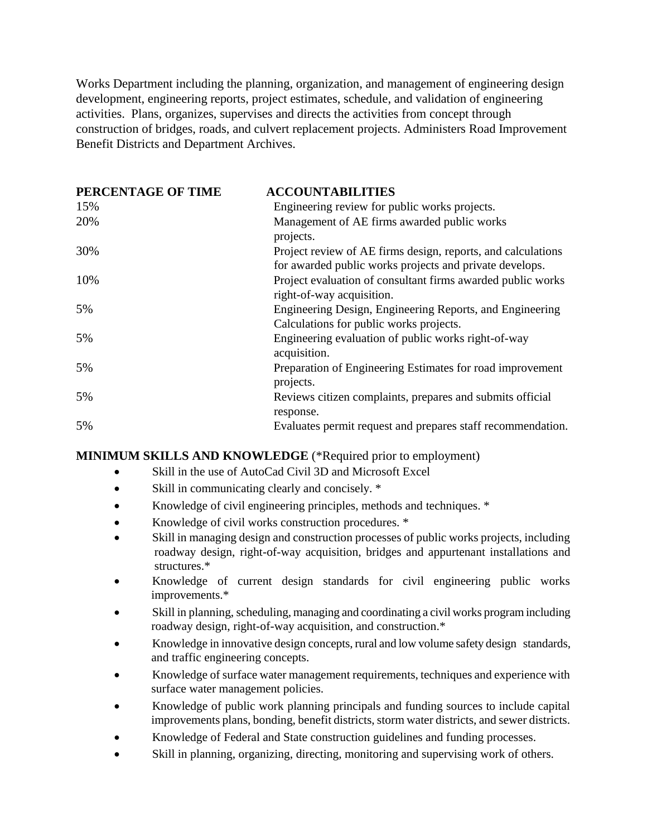Works Department including the planning, organization, and management of engineering design development, engineering reports, project estimates, schedule, and validation of engineering activities. Plans, organizes, supervises and directs the activities from concept through construction of bridges, roads, and culvert replacement projects. Administers Road Improvement Benefit Districts and Department Archives.

| PERCENTAGE OF TIME | <b>ACCOUNTABILITIES</b>                                                                                                 |
|--------------------|-------------------------------------------------------------------------------------------------------------------------|
| 15%                | Engineering review for public works projects.                                                                           |
| 20%                | Management of AE firms awarded public works<br>projects.                                                                |
| 30%                | Project review of AE firms design, reports, and calculations<br>for awarded public works projects and private develops. |
| 10%                | Project evaluation of consultant firms awarded public works<br>right-of-way acquisition.                                |
| 5%                 | Engineering Design, Engineering Reports, and Engineering<br>Calculations for public works projects.                     |
| 5%                 | Engineering evaluation of public works right-of-way<br>acquisition.                                                     |
| 5%                 | Preparation of Engineering Estimates for road improvement<br>projects.                                                  |
| 5%                 | Reviews citizen complaints, prepares and submits official<br>response.                                                  |
| 5%                 | Evaluates permit request and prepares staff recommendation.                                                             |

#### **MINIMUM SKILLS AND KNOWLEDGE** (\*Required prior to employment)

- Skill in the use of AutoCad Civil 3D and Microsoft Excel
- Skill in communicating clearly and concisely.  $*$
- Knowledge of civil engineering principles, methods and techniques. \*
- Knowledge of civil works construction procedures. \*
- Skill in managing design and construction processes of public works projects, including roadway design, right-of-way acquisition, bridges and appurtenant installations and structures.\*
- Knowledge of current design standards for civil engineering public works improvements.\*
- Skill in planning, scheduling, managing and coordinating a civil works program including roadway design, right-of-way acquisition, and construction.\*
- Knowledge in innovative design concepts, rural and low volume safety design standards, and traffic engineering concepts.
- Knowledge of surface water management requirements, techniques and experience with surface water management policies.
- Knowledge of public work planning principals and funding sources to include capital improvements plans, bonding, benefit districts, storm water districts, and sewer districts.
- Knowledge of Federal and State construction guidelines and funding processes.
- Skill in planning, organizing, directing, monitoring and supervising work of others.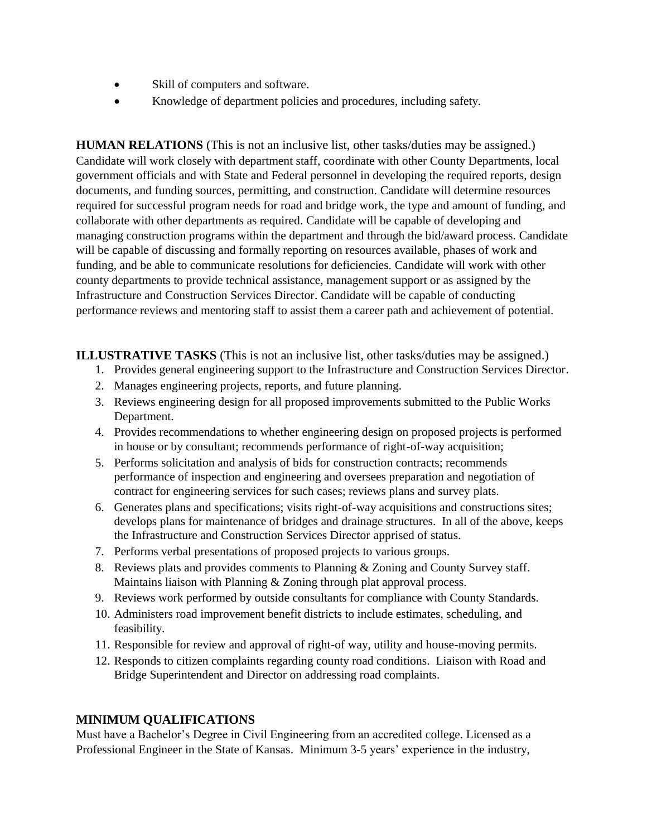- Skill of computers and software.
- Knowledge of department policies and procedures, including safety.

**HUMAN RELATIONS** (This is not an inclusive list, other tasks/duties may be assigned.) Candidate will work closely with department staff, coordinate with other County Departments, local government officials and with State and Federal personnel in developing the required reports, design documents, and funding sources, permitting, and construction. Candidate will determine resources required for successful program needs for road and bridge work, the type and amount of funding, and collaborate with other departments as required. Candidate will be capable of developing and managing construction programs within the department and through the bid/award process. Candidate will be capable of discussing and formally reporting on resources available, phases of work and funding, and be able to communicate resolutions for deficiencies. Candidate will work with other county departments to provide technical assistance, management support or as assigned by the Infrastructure and Construction Services Director. Candidate will be capable of conducting performance reviews and mentoring staff to assist them a career path and achievement of potential.

**ILLUSTRATIVE TASKS** (This is not an inclusive list, other tasks/duties may be assigned.)

- 1. Provides general engineering support to the Infrastructure and Construction Services Director.
- 2. Manages engineering projects, reports, and future planning.
- 3. Reviews engineering design for all proposed improvements submitted to the Public Works Department.
- 4. Provides recommendations to whether engineering design on proposed projects is performed in house or by consultant; recommends performance of right-of-way acquisition;
- 5. Performs solicitation and analysis of bids for construction contracts; recommends performance of inspection and engineering and oversees preparation and negotiation of contract for engineering services for such cases; reviews plans and survey plats.
- 6. Generates plans and specifications; visits right-of-way acquisitions and constructions sites; develops plans for maintenance of bridges and drainage structures. In all of the above, keeps the Infrastructure and Construction Services Director apprised of status.
- 7. Performs verbal presentations of proposed projects to various groups.
- 8. Reviews plats and provides comments to Planning & Zoning and County Survey staff. Maintains liaison with Planning & Zoning through plat approval process.
- 9. Reviews work performed by outside consultants for compliance with County Standards.
- 10. Administers road improvement benefit districts to include estimates, scheduling, and feasibility.
- 11. Responsible for review and approval of right-of way, utility and house-moving permits.
- 12. Responds to citizen complaints regarding county road conditions. Liaison with Road and Bridge Superintendent and Director on addressing road complaints.

#### **MINIMUM QUALIFICATIONS**

Must have a Bachelor's Degree in Civil Engineering from an accredited college. Licensed as a Professional Engineer in the State of Kansas. Minimum 3-5 years' experience in the industry,